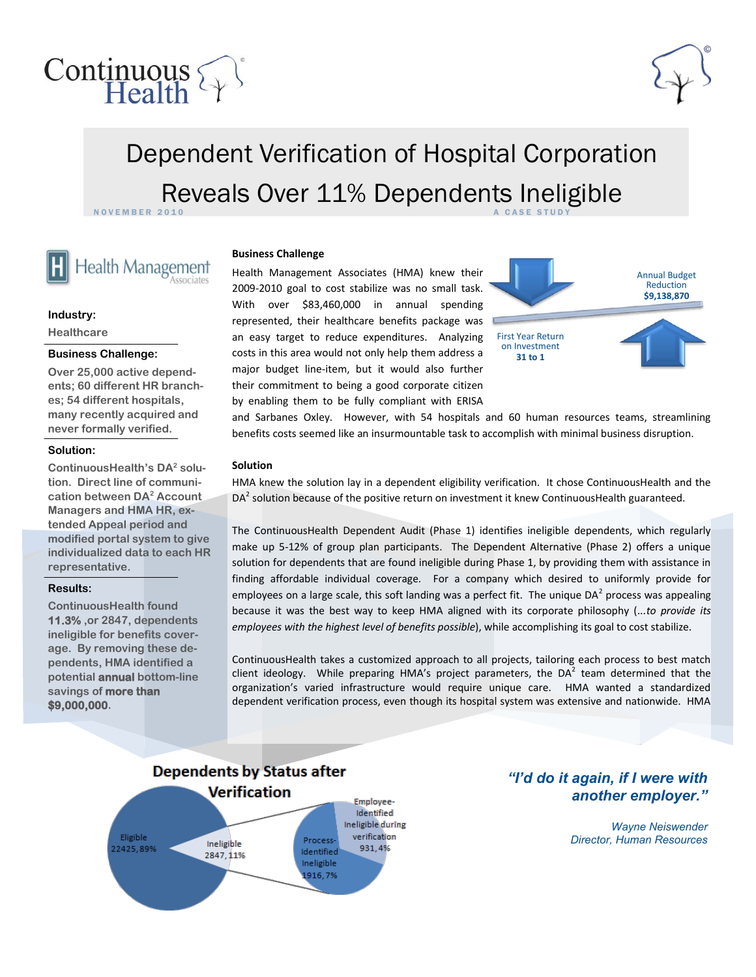



# Dependent Verification of Hospital Corporation Reveals Over 11% Dependents Ineligible

**NOVEMBER 2010** 

Health Management

#### **Industry:**

**Healthcare**

### **Business Challenge:**

**Over 25,000 active dependents; 60 different HR branches; 54 different hospitals, many recently acquired and never formally verified.**

# **Solution:**

**ContinuousHealth's DA<sup>2</sup> solution. Direct line of communication between DA<sup>2</sup> Account Managers and HMA HR, extended Appeal period and modified portal system to give individualized data to each HR representative.**

# **Results:**

**ContinuousHealth found 11.3% ,or 2847, dependents ineligible for benefits coverage. By removing these dependents, HMA identified a potential annual bottom-line savings of more than \$9,000,000.**

# **Business Challenge**

Health Management Associates (HMA) knew their 2009-2010 goal to cost stabilize was no small task. With over \$83,460,000 in annual spending represented, their healthcare benefits package was an easy target to reduce expenditures. Analyzing costs in this area would not only help them address a major budget line-item, but it would also further their commitment to being a good corporate citizen by enabling them to be fully compliant with ERISA



and Sarbanes Oxley. However, with 54 hospitals and 60 human resources teams, streamlining benefits costs seemed like an insurmountable task to accomplish with minimal business disruption.

### **Solution**

HMA knew the solution lay in a dependent eligibility verification. It chose ContinuousHealth and the DA<sup>2</sup> solution because of the positive return on investment it knew ContinuousHealth guaranteed.

The ContinuousHealth Dependent Audit (Phase 1) identifies ineligible dependents, which regularly make up 5-12% of group plan participants. The Dependent Alternative (Phase 2) offers a unique solution for dependents that are found ineligible during Phase 1, by providing them with assistance in finding affordable individual coverage. For a company which desired to uniformly provide for employees on a large scale, this soft landing was a perfect fit. The unique DA<sup>2</sup> process was appealing because it was the best way to keep HMA aligned with its corporate philosophy (...*to provide its employees with the highest level of benefits possible*), while accomplishing its goal to cost stabilize.

ContinuousHealth takes a customized approach to all projects, tailoring each process to best match client ideology. While preparing HMA's project parameters, the DA<sup>2</sup> team determined that the organization's varied infrastructure would require unique care. HMA wanted a standardized dependent verification process, even though its hospital system was extensive and nationwide. HMA



# *"I'd do it again, if I were with another employer."*

*Wayne Neiswender Director, Human Resources*